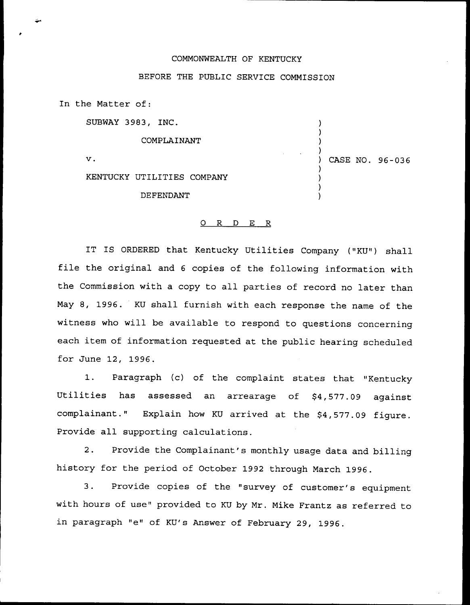## COMMONWEALTH OF KENTUCKY

## BEFORE THE PUBLIC SERVICE COMMISSION

In the Matter of:

SUBWAY 3983, INC.

COMPLAINANT

 $\mathbf v$ .

KENTUCKY UTILITIES COMPANY

DEFENDANT

## ) CASE NO. 96-036

) ) ) )

) ) ) )

## 0 R <sup>D</sup> E R

IT IS ORDERED that Kentucky Utilities Company ("KU") shall file the original and <sup>6</sup> copies of the following information with the Commission with a copy to all parties of record no later than May 8, 1996. KU shall furnish with each response the name of the witness who will be available to respond to questions concerning each item of information requested at the public hearing scheduled for June 12, 1996.

1. Paragraph (c) of the complaint states that "Kentucky Utilities has assessed an arrearage of \$4,577.09 against complainant." Explain how KU arrived at the \$4,577.09 figure. Provide all supporting calculations.

2. Provide the Complainant's monthly usage data and billing history for the period of October 1992 through March 1996.

3. Provide copies of the "survey of customer's equipment with hours of use" provided to KU by Mr. Mike Frantz as referred to in paragraph "e" of KU's Answer of February 29, 1996.